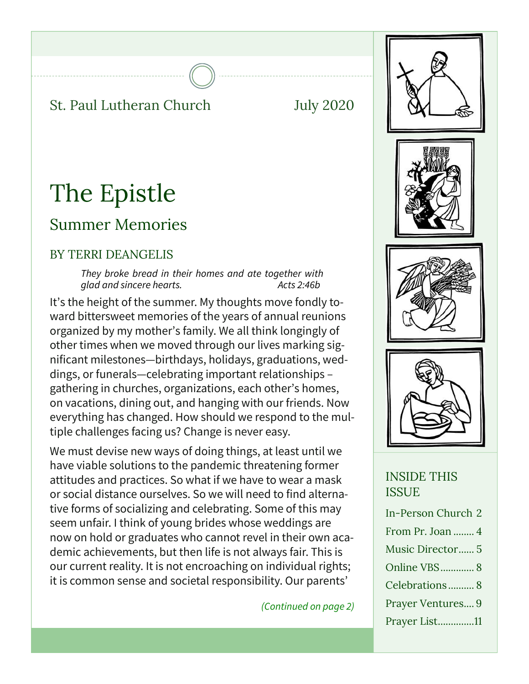#### St. Paul Lutheran Church July 2020

# The Epistle

### Summer Memories

#### BY TERRI DEANGELIS

*They broke bread in their homes and ate together with glad and sincere hearts. Acts 2:46b*

It's the height of the summer. My thoughts move fondly toward bittersweet memories of the years of annual reunions organized by my mother's family. We all think longingly of other times when we moved through our lives marking significant milestones—birthdays, holidays, graduations, weddings, or funerals—celebrating important relationships – gathering in churches, organizations, each other's homes, on vacations, dining out, and hanging with our friends. Now everything has changed. How should we respond to the multiple challenges facing us? Change is never easy.

We must devise new ways of doing things, at least until we have viable solutions to the pandemic threatening former attitudes and practices. So what if we have to wear a mask or social distance ourselves. So we will need to find alternative forms of socializing and celebrating. Some of this may seem unfair. I think of young brides whose weddings are now on hold or graduates who cannot revel in their own academic achievements, but then life is not always fair. This is our current reality. It is not encroaching on individual rights; it is common sense and societal responsibility. Our parents'

*(Continued on page 2)*





#### INSIDE THIS **ISSUE**

| In-Person Church 2 |
|--------------------|
| From Pr. Joan  4   |
| Music Director 5   |
| Online VBS 8       |
| Celebrations 8     |
| Prayer Ventures 9  |
| Prayer List11      |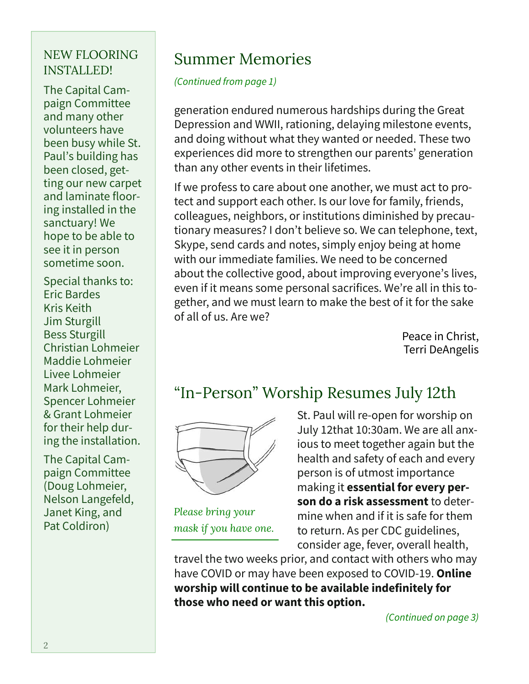#### NEW FLOORING INSTALLED!

The Capital Campaign Committee and many other volunteers have been busy while St. Paul's building has been closed, getting our new carpet and laminate flooring installed in the sanctuary! We hope to be able to see it in person sometime soon.

Special thanks to: Eric Bardes Kris Keith Jim Sturgill Bess Sturgill Christian Lohmeier Maddie Lohmeier Livee Lohmeier Mark Lohmeier, Spencer Lohmeier & Grant Lohmeier for their help during the installation.

The Capital Campaign Committee (Doug Lohmeier, Nelson Langefeld, Janet King, and Pat Coldiron)

### Summer Memories

*(Continued from page 1)*

generation endured numerous hardships during the Great Depression and WWII, rationing, delaying milestone events, and doing without what they wanted or needed. These two experiences did more to strengthen our parents' generation than any other events in their lifetimes.

If we profess to care about one another, we must act to protect and support each other. Is our love for family, friends, colleagues, neighbors, or institutions diminished by precautionary measures? I don't believe so. We can telephone, text, Skype, send cards and notes, simply enjoy being at home with our immediate families. We need to be concerned about the collective good, about improving everyone's lives, even if it means some personal sacrifices. We're all in this together, and we must learn to make the best of it for the sake of all of us. Are we?

> Peace in Christ, Terri DeAngelis

### "In-Person" Worship Resumes July 12th



*Please bring your mask if you have one.*

St. Paul will re-open for worship on July 12that 10:30am. We are all anxious to meet together again but the health and safety of each and every person is of utmost importance making it **essential for every person do a risk assessment** to determine when and if it is safe for them to return. As per CDC guidelines, consider age, fever, overall health,

travel the two weeks prior, and contact with others who may have COVID or may have been exposed to COVID-19. **Online worship will continue to be available indefinitely for those who need or want this option.**

*(Continued on page 3)*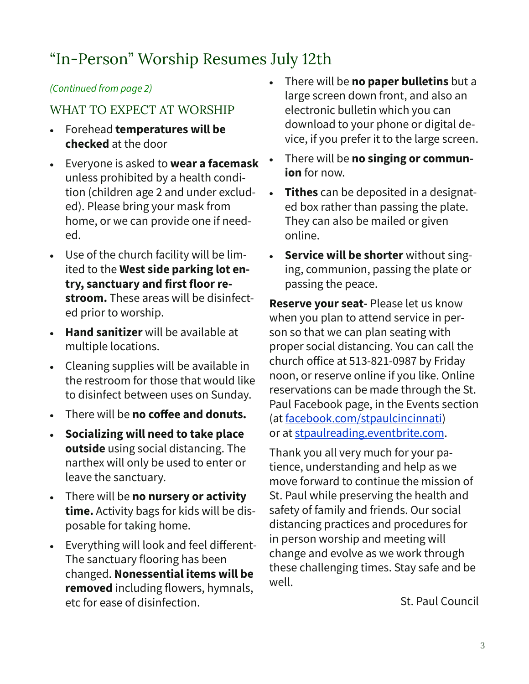### "In-Person" Worship Resumes July 12th

#### *(Continued from page 2)*

#### WHAT TO EXPECT AT WORSHIP

- Forehead **temperatures will be checked** at the door
- Everyone is asked to **wear a facemask**  unless prohibited by a health condition (children age 2 and under excluded). Please bring your mask from home, or we can provide one if needed.
- Use of the church facility will be limited to the **West side parking lot entry, sanctuary and first floor restroom.** These areas will be disinfected prior to worship.
- **Hand sanitizer** will be available at multiple locations.
- Cleaning supplies will be available in the restroom for those that would like to disinfect between uses on Sunday.
- There will be **no coffee and donuts.**
- **Socializing will need to take place outside** using social distancing. The narthex will only be used to enter or leave the sanctuary.
- There will be **no nursery or activity time.** Activity bags for kids will be disposable for taking home.
- Everything will look and feel different-The sanctuary flooring has been changed. **Nonessential items will be removed** including flowers, hymnals, etc for ease of disinfection.
- There will be **no paper bulletins** but a large screen down front, and also an electronic bulletin which you can download to your phone or digital device, if you prefer it to the large screen.
- There will be **no singing or communion** for now.
- **Tithes** can be deposited in a designated box rather than passing the plate. They can also be mailed or given online.
- **Service will be shorter** without singing, communion, passing the plate or passing the peace.

**Reserve your seat-** Please let us know when you plan to attend service in person so that we can plan seating with proper social distancing. You can call the church office at 513-821-0987 by Friday noon, or reserve online if you like. Online reservations can be made through the St. Paul Facebook page, in the Events section (at facebook.com/stpaulcincinnati) or at stpaulreading.eventbrite.com.

Thank you all very much for your patience, understanding and help as we move forward to continue the mission of St. Paul while preserving the health and safety of family and friends. Our social distancing practices and procedures for in person worship and meeting will change and evolve as we work through these challenging times. Stay safe and be well.

St. Paul Council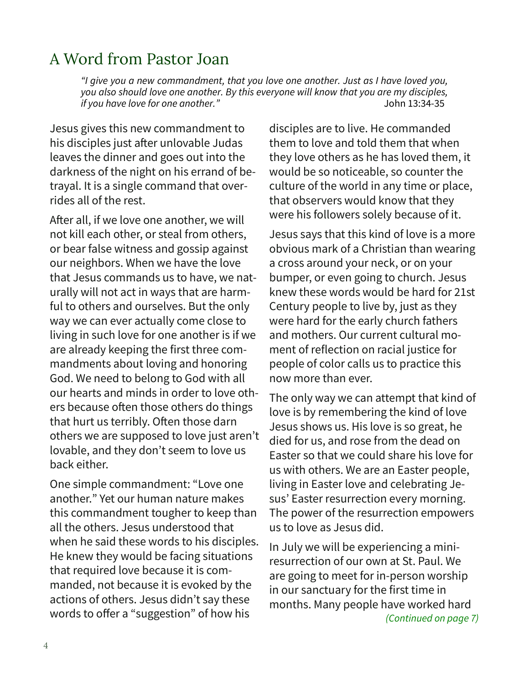### A Word from Pastor Joan

*"I give you a new commandment, that you love one another. Just as I have loved you, you also should love one another. By this everyone will know that you are my disciples, if you have love for one another."* John 13:34-35

Jesus gives this new commandment to his disciples just after unlovable Judas leaves the dinner and goes out into the darkness of the night on his errand of betrayal. It is a single command that overrides all of the rest.

After all, if we love one another, we will not kill each other, or steal from others, or bear false witness and gossip against our neighbors. When we have the love that Jesus commands us to have, we naturally will not act in ways that are harmful to others and ourselves. But the only way we can ever actually come close to living in such love for one another is if we are already keeping the first three commandments about loving and honoring God. We need to belong to God with all our hearts and minds in order to love others because often those others do things that hurt us terribly. Often those darn others we are supposed to love just aren't lovable, and they don't seem to love us back either.

One simple commandment: "Love one another." Yet our human nature makes this commandment tougher to keep than all the others. Jesus understood that when he said these words to his disciples. He knew they would be facing situations that required love because it is commanded, not because it is evoked by the actions of others. Jesus didn't say these words to offer a "suggestion" of how his

disciples are to live. He commanded them to love and told them that when they love others as he has loved them, it would be so noticeable, so counter the culture of the world in any time or place, that observers would know that they were his followers solely because of it.

Jesus says that this kind of love is a more obvious mark of a Christian than wearing a cross around your neck, or on your bumper, or even going to church. Jesus knew these words would be hard for 21st Century people to live by, just as they were hard for the early church fathers and mothers. Our current cultural moment of reflection on racial justice for people of color calls us to practice this now more than ever.

The only way we can attempt that kind of love is by remembering the kind of love Jesus shows us. His love is so great, he died for us, and rose from the dead on Easter so that we could share his love for us with others. We are an Easter people, living in Easter love and celebrating Jesus' Easter resurrection every morning. The power of the resurrection empowers us to love as Jesus did.

In July we will be experiencing a miniresurrection of our own at St. Paul. We are going to meet for in-person worship in our sanctuary for the first time in months. Many people have worked hard *(Continued on page 7)*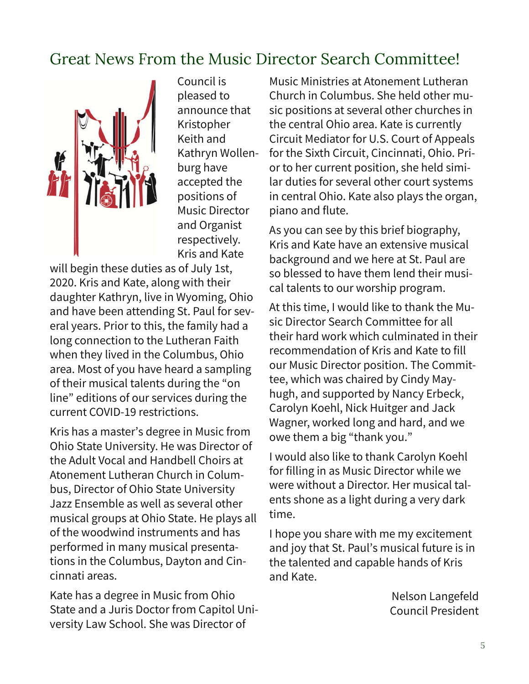### Great News From the Music Director Search Committee!



Council is pleased to announce that Kristopher Keith and Kathryn Wollenburg have accepted the positions of Music Director and Organist respectively. Kris and Kate

will begin these duties as of July 1st, 2020. Kris and Kate, along with their daughter Kathryn, live in Wyoming, Ohio and have been attending St. Paul for several years. Prior to this, the family had a long connection to the Lutheran Faith when they lived in the Columbus, Ohio area. Most of you have heard a sampling of their musical talents during the "on line" editions of our services during the current COVID-19 restrictions.

Kris has a master's degree in Music from Ohio State University. He was Director of the Adult Vocal and Handbell Choirs at Atonement Lutheran Church in Columbus, Director of Ohio State University Jazz Ensemble as well as several other musical groups at Ohio State. He plays all of the woodwind instruments and has performed in many musical presentations in the Columbus, Dayton and Cincinnati areas.

Kate has a degree in Music from Ohio State and a Juris Doctor from Capitol University Law School. She was Director of

Music Ministries at Atonement Lutheran Church in Columbus. She held other music positions at several other churches in the central Ohio area. Kate is currently Circuit Mediator for U.S. Court of Appeals for the Sixth Circuit, Cincinnati, Ohio. Prior to her current position, she held similar duties for several other court systems in central Ohio. Kate also plays the organ, piano and flute.

As you can see by this brief biography, Kris and Kate have an extensive musical background and we here at St. Paul are so blessed to have them lend their musical talents to our worship program.

At this time, I would like to thank the Music Director Search Committee for all their hard work which culminated in their recommendation of Kris and Kate to fill our Music Director position. The Committee, which was chaired by Cindy Mayhugh, and supported by Nancy Erbeck, Carolyn Koehl, Nick Huitger and Jack Wagner, worked long and hard, and we owe them a big "thank you."

I would also like to thank Carolyn Koehl for filling in as Music Director while we were without a Director. Her musical talents shone as a light during a very dark time.

I hope you share with me my excitement and joy that St. Paul's musical future is in the talented and capable hands of Kris and Kate.

> Nelson Langefeld Council President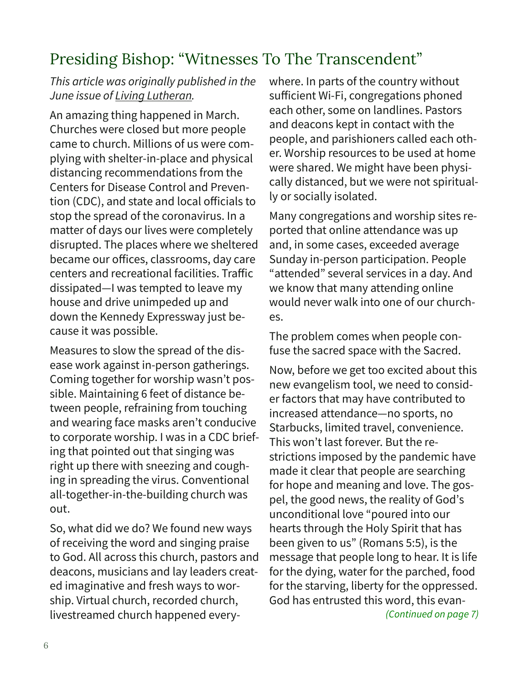### Presiding Bishop: "Witnesses To The Transcendent"

#### *This article was originally published in the June issue of Living Lutheran.*

An amazing thing happened in March. Churches were closed but more people came to church. Millions of us were complying with shelter-in-place and physical distancing recommendations from the Centers for Disease Control and Prevention (CDC), and state and local officials to stop the spread of the coronavirus. In a matter of days our lives were completely disrupted. The places where we sheltered became our offices, classrooms, day care centers and recreational facilities. Traffic dissipated—I was tempted to leave my house and drive unimpeded up and down the Kennedy Expressway just because it was possible.

Measures to slow the spread of the disease work against in-person gatherings. Coming together for worship wasn't possible. Maintaining 6 feet of distance between people, refraining from touching and wearing face masks aren't conducive to corporate worship. I was in a CDC briefing that pointed out that singing was right up there with sneezing and coughing in spreading the virus. Conventional all-together-in-the-building church was out.

So, what did we do? We found new ways of receiving the word and singing praise to God. All across this church, pastors and deacons, musicians and lay leaders created imaginative and fresh ways to worship. Virtual church, recorded church, livestreamed church happened everywhere. In parts of the country without sufficient Wi-Fi, congregations phoned each other, some on landlines. Pastors and deacons kept in contact with the people, and parishioners called each other. Worship resources to be used at home were shared. We might have been physically distanced, but we were not spiritually or socially isolated.

Many congregations and worship sites reported that online attendance was up and, in some cases, exceeded average Sunday in-person participation. People "attended" several services in a day. And we know that many attending online would never walk into one of our churches.

The problem comes when people confuse the sacred space with the Sacred.

Now, before we get too excited about this new evangelism tool, we need to consider factors that may have contributed to increased attendance—no sports, no Starbucks, limited travel, convenience. This won't last forever. But the restrictions imposed by the pandemic have made it clear that people are searching for hope and meaning and love. The gospel, the good news, the reality of God's unconditional love "poured into our hearts through the Holy Spirit that has been given to us" (Romans 5:5), is the message that people long to hear. It is life for the dying, water for the parched, food for the starving, liberty for the oppressed. God has entrusted this word, this evan- *(Continued on page 7)*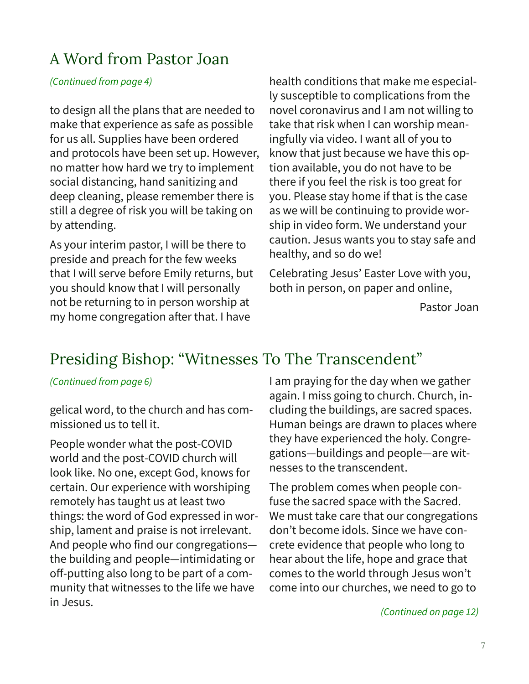### A Word from Pastor Joan

#### *(Continued from page 4)*

to design all the plans that are needed to make that experience as safe as possible for us all. Supplies have been ordered and protocols have been set up. However, no matter how hard we try to implement social distancing, hand sanitizing and deep cleaning, please remember there is still a degree of risk you will be taking on by attending.

As your interim pastor, I will be there to preside and preach for the few weeks that I will serve before Emily returns, but you should know that I will personally not be returning to in person worship at my home congregation after that. I have

health conditions that make me especially susceptible to complications from the novel coronavirus and I am not willing to take that risk when I can worship meaningfully via video. I want all of you to know that just because we have this option available, you do not have to be there if you feel the risk is too great for you. Please stay home if that is the case as we will be continuing to provide worship in video form. We understand your caution. Jesus wants you to stay safe and healthy, and so do we!

Celebrating Jesus' Easter Love with you, both in person, on paper and online,

Pastor Joan

### Presiding Bishop: "Witnesses To The Transcendent"

#### *(Continued from page 6)*

gelical word, to the church and has commissioned us to tell it.

People wonder what the post-COVID world and the post-COVID church will look like. No one, except God, knows for certain. Our experience with worshiping remotely has taught us at least two things: the word of God expressed in worship, lament and praise is not irrelevant. And people who find our congregations the building and people—intimidating or off-putting also long to be part of a community that witnesses to the life we have in Jesus.

I am praying for the day when we gather again. I miss going to church. Church, including the buildings, are sacred spaces. Human beings are drawn to places where they have experienced the holy. Congregations—buildings and people—are witnesses to the transcendent.

The problem comes when people confuse the sacred space with the Sacred. We must take care that our congregations don't become idols. Since we have concrete evidence that people who long to hear about the life, hope and grace that comes to the world through Jesus won't come into our churches, we need to go to

*(Continued on page 12)*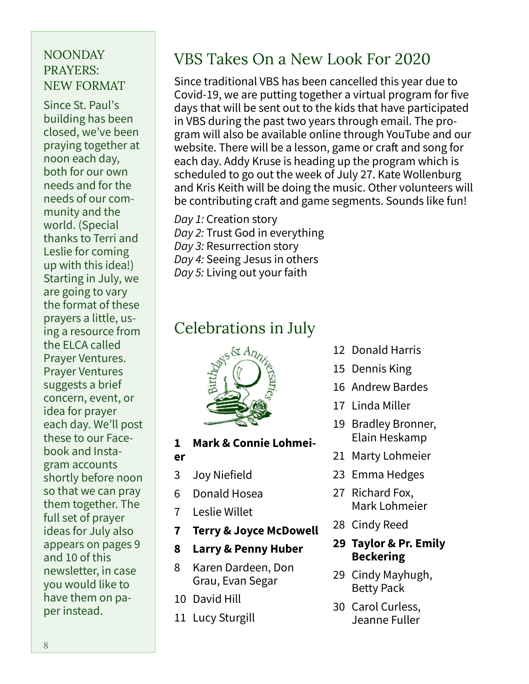#### NOONDAY PRAYERS: NEW FORMAT

Since St. Paul's building has been closed, we've been praying together at noon each day, both for our own needs and for the needs of our community and the world. (Special thanks to Terri and Leslie for coming up with this idea!) Starting in July, we are going to vary the format of these prayers a little, using a resource from the ELCA called Prayer Ventures. Prayer Ventures suggests a brief concern, event, or idea for prayer each day. We'll post these to our Facebook and Instagram accounts shortly before noon so that we can pray them together. The full set of prayer ideas for July also appears on pages 9 and 10 of this newsletter, in case you would like to have them on paper instead.

### VBS Takes On a New Look For 2020

Since traditional VBS has been cancelled this year due to Covid-19, we are putting together a virtual program for five days that will be sent out to the kids that have participated in VBS during the past two years through email. The program will also be available online through YouTube and our website. There will be a lesson, game or craft and song for each day. Addy Kruse is heading up the program which is scheduled to go out the week of July 27. Kate Wollenburg and Kris Keith will be doing the music. Other volunteers will be contributing craft and game segments. Sounds like fun!

*Day 1:* Creation story *Day 2:* Trust God in everything *Day 3:* Resurrection story *Day 4:* Seeing Jesus in others *Day 5:* Living out your faith

### Celebrations in July



- **1 Mark & Connie Lohmei-**
- **er**
- 3 Joy Niefield
- 6 Donald Hosea
- 7 Leslie Willet
- **7 Terry & Joyce McDowell**
- **8 Larry & Penny Huber**
- 8 Karen Dardeen, Don Grau, Evan Segar
- 10 David Hill
- 11 Lucy Sturgill
- 12 Donald Harris
- 15 Dennis King
- 16 Andrew Bardes
- 17 Linda Miller
- 19 Bradley Bronner, Elain Heskamp
- 21 Marty Lohmeier
- 23 Emma Hedges
- 27 Richard Fox, Mark Lohmeier
- 28 Cindy Reed
- **29 Taylor & Pr. Emily Beckering**
- 29 Cindy Mayhugh, Betty Pack
- 30 Carol Curless, Jeanne Fuller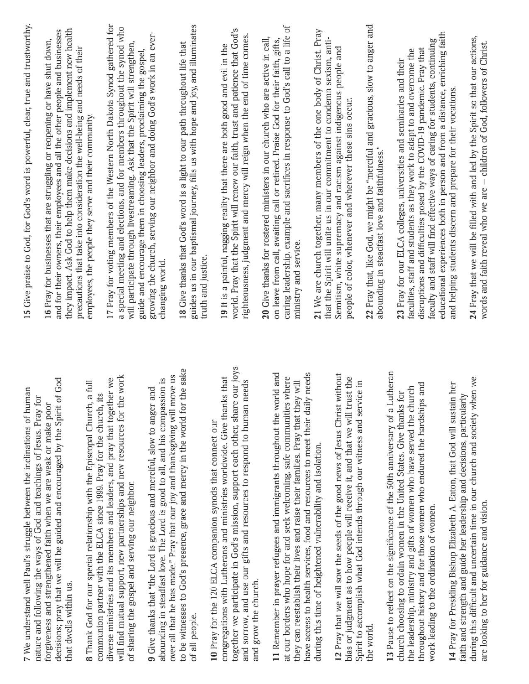| 7 We understand well Paul's struggle between the inclinations of human<br>nature and following the ways of God and teachings of Jesus. Pray for                 | 15 Give praise to God, for God's word is powerful, clear, true and trustworthy.                                                                                 |
|-----------------------------------------------------------------------------------------------------------------------------------------------------------------|-----------------------------------------------------------------------------------------------------------------------------------------------------------------|
| forgiveness and strengthened faith when we are weak or make poor                                                                                                | 16 Pray for businesses that are struggling or reopening or have shut down,                                                                                      |
| decisions; pray that we will be guided and encouraged by the Spirit of God                                                                                      | and for their owners, their employees and all the other people and businesses                                                                                   |
| that dwells within us.                                                                                                                                          | they impact. Ask God to help them make decisions and implement new health<br>precautions that take into consideration the well-being and needs of their         |
| 8 Thank God for our special relationship with the Episcopal Church, a full<br>communion partner with the ELCA since 1999. Pray for the church, its              | employees, the people they serve and their community.                                                                                                           |
| diverse ministries and its members and leaders, and pray that together we                                                                                       | 17 Pray for voting members of the Western North Dakota Synod gathered for                                                                                       |
| will find mutual support, new partnerships and new resources for the work<br>of sharing the gospel and serving our neighbor.                                    | a special meeting and elections, and for members throughout the synod who<br>will participate through livestreaming. Ask that the Spirit will strengthen,       |
|                                                                                                                                                                 | guide and encourage them in choosing leaders, proclaiming the gospel,                                                                                           |
| abounding in steadfast love. The Lord is good to all, and his compassion is<br>9 Give thanks that "the Lord is gracious and merciful, slow to anger and         | growing the church, serving our neighbor and doing God's work in an ever-<br>changing world.                                                                    |
| over all that he has made." Pray that our joy and thanksgiving will move us                                                                                     |                                                                                                                                                                 |
| to be witnesses to God's presence, grace and mercy in the world for the sake                                                                                    | 18 Give thanks that God's word is a light to our path throughout life that                                                                                      |
| of all people.                                                                                                                                                  | guides us in our baptismal journey, fills us with hope and joy, and illuminates<br>truth and justice.                                                           |
| 10 Pray for the 120 ELCA companion synods that connect our                                                                                                      |                                                                                                                                                                 |
| together we participate in God's mission, support each other, share our joys<br>congregations with Lutherans and ministries worldwide. Give thanks that         | world. Pray that the Spirit will renew our faith, trust and patience that God's<br>19 It is a painful, nagging reality that there are both good and evil in the |
|                                                                                                                                                                 | righteousness, judgment and mercy will reign when the end of time comes.                                                                                        |
| and sorrow, and use our gifts and resources to respond to human needs<br>and grow the church.                                                                   |                                                                                                                                                                 |
|                                                                                                                                                                 | 20 Give thanks for rostered ministers in our church who are active in call,                                                                                     |
| 11 Remember in prayer refugees and immigrants throughout the world and                                                                                          | on leave from call, awaiting call or retired. Praise God for their faith, gifts,                                                                                |
| at our borders who hope for and seek welcoming, safe communities where                                                                                          | caring leadership, example and sacrifices in response to God's call to a life of                                                                                |
| have access to health services, food and resources to meet their daily needs<br>they can reestablish their lives and raise their families. Pray that they will  | ministry and service.                                                                                                                                           |
|                                                                                                                                                                 |                                                                                                                                                                 |
| during this time of heightened vulnerability and isolation.                                                                                                     | 21 We are church together, many members of the one body of Christ. Pray<br>that the Spirit will unite us in our commitment to condemn sexism, anti-             |
|                                                                                                                                                                 |                                                                                                                                                                 |
| 12 Pray that we will sow the seeds of the good news of Jesus Christ without<br>trust the<br>bias or judgment as to how people will receive it, and that we will | Semitism, white supremacy and racism against indigenous people and<br>people of color, whenever and wherever these sins occur.                                  |
| Spirit to accomplish what God intends through our witness and service in                                                                                        |                                                                                                                                                                 |
| the world.                                                                                                                                                      | 22 Pray that, like God, we might be "merciful and gracious, slow to anger and                                                                                   |
| 13 Pause to reflect on the significance of the 50th anniversary of a Lutheran                                                                                   | abounding in steadfast love and faithfulness."                                                                                                                  |
| church choosing to ordain women in the United States. Give thanks for                                                                                           | 23 Pray for our ELCA colleges, universities and seminaries and their                                                                                            |
| the leadership, ministry and gifts of women who have served the church                                                                                          | faculties, staff and students as they work to adapt to and overcome the                                                                                         |
| throughout history and for those women who endured the hardships and                                                                                            | disruptions and difficulties posed by the COVID-19 pandemic. Pray that                                                                                          |
| work leading to the ordination of women.                                                                                                                        | educational experiences both in person and from a distance, enriching faith<br>faculty and staff will find effective ways of caring for students, continuing    |
| 14 Pray for Presiding Bishop Elizabeth A. Eaton, that God will sustain her                                                                                      | and helping students discern and prepare for their vocations.                                                                                                   |
| faith and strength and guide her leadership and decisions, particularly                                                                                         |                                                                                                                                                                 |
| when we<br>during this difficult and uncertain time in our church and society<br>are looking to her for guidance and vision.                                    | 24 Pray that we will be filled with and led by the Spirit so that our actions,<br>words and faith reveal who we are - children of God, followers of Christ      |
|                                                                                                                                                                 |                                                                                                                                                                 |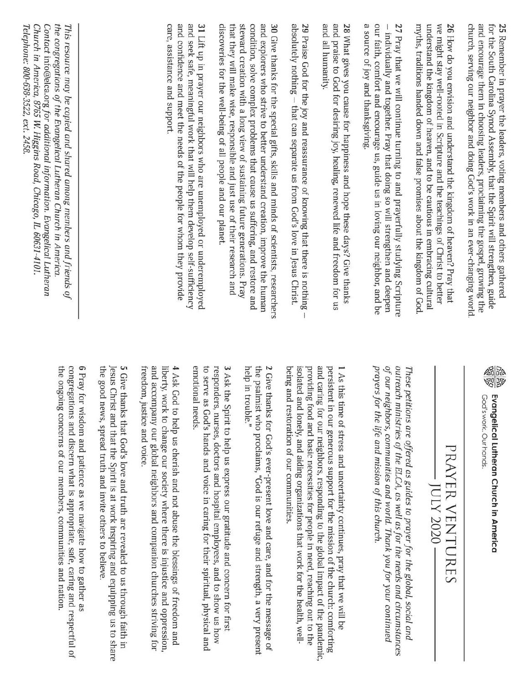a source of joy and thanksgiving. the congregations of the Evangelical Lutheran Church in America. care, assistance and support. and confidence and meet the needs of the people for whom they provide and seek safe, meaningful work that will help them develop self-sufficiency discoveries for the well-being of all people and our planet steward creation with a long view of sustaining future generations. Pray condition, solve complex problems that cause us suffering, and restore and and explorers who strive to better understand creation, improve the human and all humanity. and praise to God for desiring joy, healing, renewed life and freedom for us our faith, comfort and encourage us, guide us in loving our neighbor, and be 27 Pray that we will continue turning to and prayerfully studying Scripture myths, traditions handed down and false promises about the kingdom of God understand the kingdom of heaven, and to be cautious in embracing cultural we might stay well-rooted in Scripture and the teachings of Christ to better church, serving our neighbor and doing God's work in an ever-changing world. and encourage them in choosing leaders, proclaiming the gospel, growing the for the South Carolina Synod Assembly, that the Spirit will strengthen, guide Contact info@elca.org for additional information. Evangelical Lutheran 31 Lift up in prayer our neighbors who are unemployed or underemployed that they will make wise, responsible and just use of their research and 30 Give thanks for the special gifts, skills and minds of scientists, researchers absolutely nothing - that can separate us from God's love in Jesus Christ. 28 What gives you cause for happiness and hope these days? Give thanks 26 How do you envision and understand the kingdom of heaven? Pray that 25 Remember in prayer the leaders, voting members and others gathered Telephone: 800-638-3522, ext. 2458 Church in America, 8765 W. Higgins Road, Chicago, IL 60631-4101 This resource may be copied and shared among members and friends of 29 Praise God for the joy and reassurance of knowing that there is nothing - individually and together. Pray that doing so will strengthen and deepen  $\mathbb{I}$ help in trouble." 45 the ongoing concerns of our members, communities and nation. congregations and discern what is appropriate, safe, caring and respectful of 6 Pray for wisdom and patience as we navigate how to gather as the good news, spread truth and invite others to believe 5 Give thanks that God's love and truth are revealed to us through faith in freedom, justice and voice. and accompany our global neighbors and companion churches striving for liberty, work to change our society where there is injustice and oppression. 4 Ask God to help us cherish and not abuse the blessings of freedom and emotional needs. to serve as God's hands and voice in caring for their spiritual, physical and responders, nurses, doctors and hospital employees, and to show us how 3 Ask the Spirit to help us express our gratitude and concern for first the psalmist who proclaims, "God is our refuge and strength, a very present 2 Give thanks for God's ever-present love and care, and for the message of being and restoration of our communities. isolated and lonely, and aiding organizations that work for the health, wellproviding food and basic necessities for people in need, reaching out to the and caring for our neighbors, responding to the global impact of the pandemic, persistent in our generous support for the mission of the church: comforting 1 As this time of stress and uncertainty continues, pray that we will be prayers for the life and mission of this church. of our neighbors, communities and world. Thank you for your continued outreach ministries of the ELCA, as well as for the needs and circumstances Jesus Christ and that the Spirit is at work inspiring and equipping us to share These petitions are offered as guides to prayer for the global, social and Evangelical Lutheran Church in America God's work. Our hands PRAYER VENTURES - JULY 2020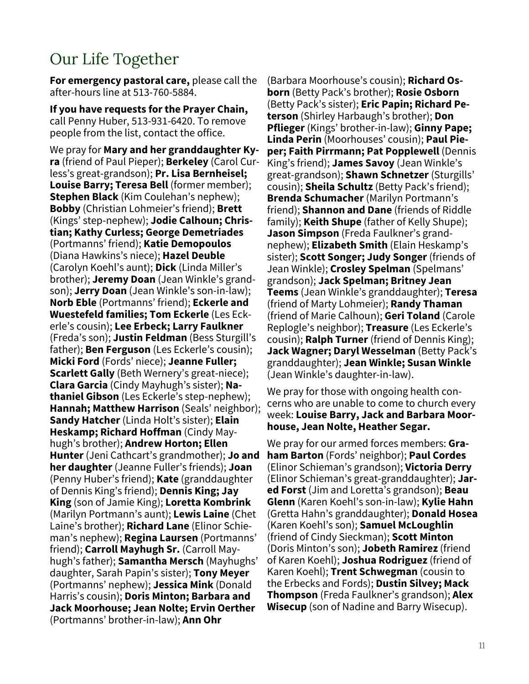### Our Life Together

**For emergency pastoral care,** please call the after-hours line at 513-760-5884.

**If you have requests for the Prayer Chain,**  call Penny Huber, 513-931-6420. To remove people from the list, contact the office.

We pray for **Mary and her granddaughter Kyra** (friend of Paul Pieper); **Berkeley** (Carol Curless's great-grandson); **Pr. Lisa Bernheisel; Louise Barry; Teresa Bell** (former member); **Stephen Black** (Kim Coulehan's nephew); **Bobby** (Christian Lohmeier's friend); **Brett**  (Kings' step-nephew); **Jodie Calhoun; Christian; Kathy Curless; George Demetriades**  (Portmanns' friend); **Katie Demopoulos**  (Diana Hawkins's niece); **Hazel Deuble** (Carolyn Koehl's aunt); **Dick** (Linda Miller's brother); **Jeremy Doan** (Jean Winkle's grandson); **Jerry Doan** (Jean Winkle's son-in-law); **Norb Eble** (Portmanns' friend); **Eckerle and Wuestefeld families; Tom Eckerle** (Les Eckerle's cousin); **Lee Erbeck; Larry Faulkner**  (Freda's son); **Justin Feldman** (Bess Sturgill's father); **Ben Ferguson** (Les Eckerle's cousin); **Micki Ford** (Fords' niece); **Jeanne Fuller; Scarlett Gally** (Beth Wernery's great-niece); **Clara Garcia** (Cindy Mayhugh's sister); **Nathaniel Gibson** (Les Eckerle's step-nephew); **Hannah; Matthew Harrison** (Seals' neighbor); **Sandy Hatcher** (Linda Holt's sister); **Elain Heskamp; Richard Hoffman** (Cindy Mayhugh's brother); **Andrew Horton; Ellen Hunter** (Jeni Cathcart's grandmother); **Jo and her daughter** (Jeanne Fuller's friends); **Joan**  (Penny Huber's friend); **Kate** (granddaughter of Dennis King's friend); **Dennis King; Jay King** (son of Jamie King); **Loretta Kombrink**  (Marilyn Portmann's aunt); **Lewis Laine** (Chet Laine's brother); **Richard Lane** (Elinor Schieman's nephew); **Regina Laursen** (Portmanns' friend); **Carroll Mayhugh Sr.** (Carroll Mayhugh's father); **Samantha Mersch** (Mayhughs' daughter, Sarah Papin's sister); **Tony Meyer**  (Portmanns' nephew); **Jessica Mink** (Donald Harris's cousin); **Doris Minton; Barbara and Jack Moorhouse; Jean Nolte; Ervin Oerther**  (Portmanns' brother-in-law); **Ann Ohr** 

(Barbara Moorhouse's cousin); **Richard Osborn** (Betty Pack's brother); **Rosie Osborn**  (Betty Pack's sister); **Eric Papin; Richard Peterson** (Shirley Harbaugh's brother); **Don Pflieger** (Kings' brother-in-law); **Ginny Pape; Linda Perin** (Moorhouses' cousin); **Paul Pieper; Faith Pirrmann; Pat Popplewell** (Dennis King's friend); **James Savoy** (Jean Winkle's great-grandson); **Shawn Schnetzer** (Sturgills' cousin); **Sheila Schultz** (Betty Pack's friend); **Brenda Schumacher** (Marilyn Portmann's friend); **Shannon and Dane** (friends of Riddle family); **Keith Shupe** (father of Kelly Shupe); **Jason Simpson** (Freda Faulkner's grandnephew); **Elizabeth Smith** (Elain Heskamp's sister); **Scott Songer; Judy Songer** (friends of Jean Winkle); **Crosley Spelman** (Spelmans' grandson); **Jack Spelman; Britney Jean Teems** (Jean Winkle's granddaughter); **Teresa**  (friend of Marty Lohmeier); **Randy Thaman**  (friend of Marie Calhoun); **Geri Toland** (Carole Replogle's neighbor); **Treasure** (Les Eckerle's cousin); **Ralph Turner** (friend of Dennis King); **Jack Wagner; Daryl Wesselman** (Betty Pack's granddaughter); **Jean Winkle; Susan Winkle**  (Jean Winkle's daughter-in-law).

We pray for those with ongoing health concerns who are unable to come to church every week: **Louise Barry, Jack and Barbara Moorhouse, Jean Nolte, Heather Segar.**

We pray for our armed forces members: **Graham Barton** (Fords' neighbor); **Paul Cordes**  (Elinor Schieman's grandson); **Victoria Derry**  (Elinor Schieman's great-granddaughter); **Jared Forst** (Jim and Loretta's grandson); **Beau Glenn** (Karen Koehl's son-in-law); **Kylie Hahn**  (Gretta Hahn's granddaughter); **Donald Hosea**  (Karen Koehl's son); **Samuel McLoughlin** (friend of Cindy Sieckman); **Scott Minton**  (Doris Minton's son); **Jobeth Ramirez** (friend of Karen Koehl); **Joshua Rodriguez** (friend of Karen Koehl); **Trent Schwegman** (cousin to the Erbecks and Fords); **Dustin Silvey; Mack Thompson** (Freda Faulkner's grandson); **Alex Wisecup** (son of Nadine and Barry Wisecup).